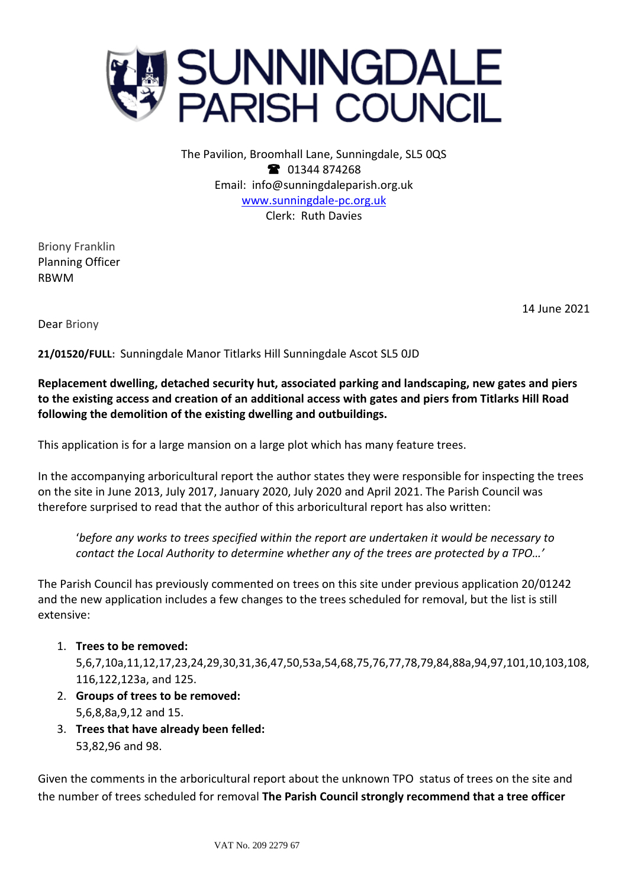

The Pavilion, Broomhall Lane, Sunningdale, SL5 0QS <sup>3</sup> 01344 874268 Email: info@sunningdaleparish.org.uk [www.sunningdale-pc.org.uk](http://www.sunningdale-pc.org.uk/) Clerk: Ruth Davies

Briony Franklin Planning Officer RBWM

14 June 2021

Dear Briony

**21/01520/FULL:** Sunningdale Manor Titlarks Hill Sunningdale Ascot SL5 0JD

**Replacement dwelling, detached security hut, associated parking and landscaping, new gates and piers to the existing access and creation of an additional access with gates and piers from Titlarks Hill Road following the demolition of the existing dwelling and outbuildings.**

This application is for a large mansion on a large plot which has many feature trees.

In the accompanying arboricultural report the author states they were responsible for inspecting the trees on the site in June 2013, July 2017, January 2020, July 2020 and April 2021. The Parish Council was therefore surprised to read that the author of this arboricultural report has also written:

'*before any works to trees specified within the report are undertaken it would be necessary to contact the Local Authority to determine whether any of the trees are protected by a TPO…'*

The Parish Council has previously commented on trees on this site under previous application 20/01242 and the new application includes a few changes to the trees scheduled for removal, but the list is still extensive:

1. **Trees to be removed:** 

5,6,7,10a,11,12,17,23,24,29,30,31,36,47,50,53a,54,68,75,76,77,78,79,84,88a,94,97,101,10,103,108, 116,122,123a, and 125.

- 2. **Groups of trees to be removed:**  5,6,8,8a,9,12 and 15.
- 3. **Trees that have already been felled:**  53,82,96 and 98.

Given the comments in the arboricultural report about the unknown TPO status of trees on the site and the number of trees scheduled for removal **The Parish Council strongly recommend that a tree officer**